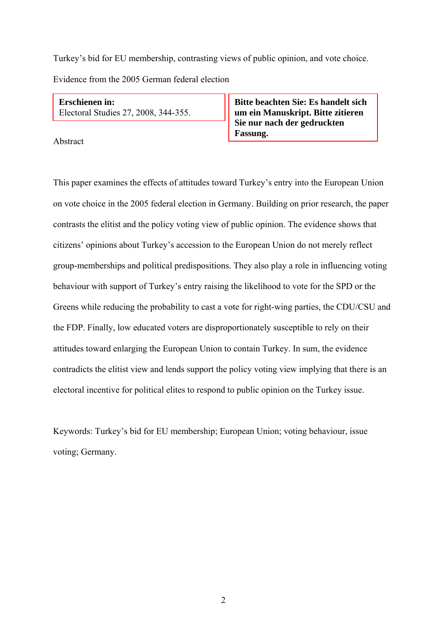Turkey's bid for EU membership, contrasting views of public opinion, and vote choice. Evidence from the 2005 German federal election

**Erschienen in:**  Electoral Studies 27, 2008, 344-355.

Abstract

**Bitte beachten Sie: Es handelt sich um ein Manuskript. Bitte zitieren Sie nur nach der gedruckten Fassung.**

This paper examines the effects of attitudes toward Turkey's entry into the European Union on vote choice in the 2005 federal election in Germany. Building on prior research, the paper contrasts the elitist and the policy voting view of public opinion. The evidence shows that citizens' opinions about Turkey's accession to the European Union do not merely reflect group-memberships and political predispositions. They also play a role in influencing voting behaviour with support of Turkey's entry raising the likelihood to vote for the SPD or the Greens while reducing the probability to cast a vote for right-wing parties, the CDU/CSU and the FDP. Finally, low educated voters are disproportionately susceptible to rely on their attitudes toward enlarging the European Union to contain Turkey. In sum, the evidence contradicts the elitist view and lends support the policy voting view implying that there is an electoral incentive for political elites to respond to public opinion on the Turkey issue.

Keywords: Turkey's bid for EU membership; European Union; voting behaviour, issue voting; Germany.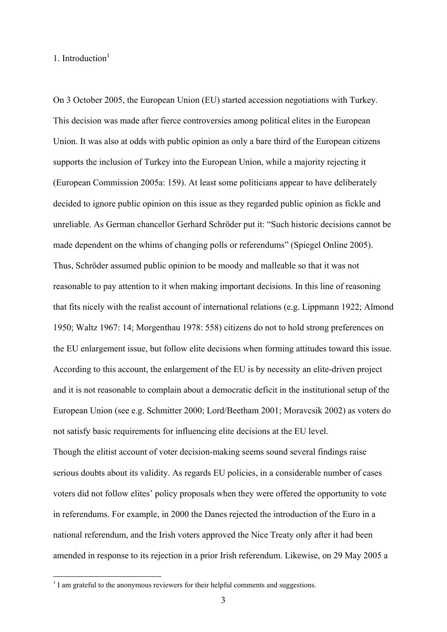# 1. Introduction $<sup>1</sup>$ </sup>

1

On 3 October 2005, the European Union (EU) started accession negotiations with Turkey. This decision was made after fierce controversies among political elites in the European Union. It was also at odds with public opinion as only a bare third of the European citizens supports the inclusion of Turkey into the European Union, while a majority rejecting it (European Commission 2005a: 159). At least some politicians appear to have deliberately decided to ignore public opinion on this issue as they regarded public opinion as fickle and unreliable. As German chancellor Gerhard Schröder put it: "Such historic decisions cannot be made dependent on the whims of changing polls or referendums" (Spiegel Online 2005). Thus, Schröder assumed public opinion to be moody and malleable so that it was not reasonable to pay attention to it when making important decisions. In this line of reasoning that fits nicely with the realist account of international relations (e.g. Lippmann 1922; Almond 1950; Waltz 1967: 14; Morgenthau 1978: 558) citizens do not to hold strong preferences on the EU enlargement issue, but follow elite decisions when forming attitudes toward this issue. According to this account, the enlargement of the EU is by necessity an elite-driven project and it is not reasonable to complain about a democratic deficit in the institutional setup of the European Union (see e.g. Schmitter 2000; Lord/Beetham 2001; Moravcsik 2002) as voters do not satisfy basic requirements for influencing elite decisions at the EU level. Though the elitist account of voter decision-making seems sound several findings raise serious doubts about its validity. As regards EU policies, in a considerable number of cases voters did not follow elites' policy proposals when they were offered the opportunity to vote in referendums. For example, in 2000 the Danes rejected the introduction of the Euro in a national referendum, and the Irish voters approved the Nice Treaty only after it had been amended in response to its rejection in a prior Irish referendum. Likewise, on 29 May 2005 a

<sup>&</sup>lt;sup>1</sup> I am grateful to the anonymous reviewers for their helpful comments and suggestions.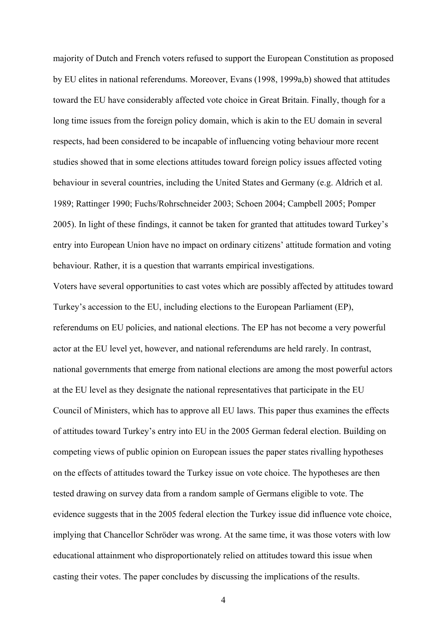majority of Dutch and French voters refused to support the European Constitution as proposed by EU elites in national referendums. Moreover, Evans (1998, 1999a,b) showed that attitudes toward the EU have considerably affected vote choice in Great Britain. Finally, though for a long time issues from the foreign policy domain, which is akin to the EU domain in several respects, had been considered to be incapable of influencing voting behaviour more recent studies showed that in some elections attitudes toward foreign policy issues affected voting behaviour in several countries, including the United States and Germany (e.g. Aldrich et al. 1989; Rattinger 1990; Fuchs/Rohrschneider 2003; Schoen 2004; Campbell 2005; Pomper 2005). In light of these findings, it cannot be taken for granted that attitudes toward Turkey's entry into European Union have no impact on ordinary citizens' attitude formation and voting behaviour. Rather, it is a question that warrants empirical investigations.

Voters have several opportunities to cast votes which are possibly affected by attitudes toward Turkey's accession to the EU, including elections to the European Parliament (EP), referendums on EU policies, and national elections. The EP has not become a very powerful actor at the EU level yet, however, and national referendums are held rarely. In contrast, national governments that emerge from national elections are among the most powerful actors at the EU level as they designate the national representatives that participate in the EU Council of Ministers, which has to approve all EU laws. This paper thus examines the effects of attitudes toward Turkey's entry into EU in the 2005 German federal election. Building on competing views of public opinion on European issues the paper states rivalling hypotheses on the effects of attitudes toward the Turkey issue on vote choice. The hypotheses are then tested drawing on survey data from a random sample of Germans eligible to vote. The evidence suggests that in the 2005 federal election the Turkey issue did influence vote choice, implying that Chancellor Schröder was wrong. At the same time, it was those voters with low educational attainment who disproportionately relied on attitudes toward this issue when casting their votes. The paper concludes by discussing the implications of the results.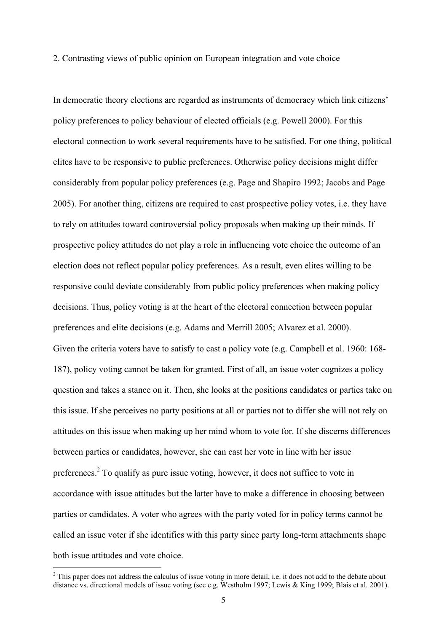2. Contrasting views of public opinion on European integration and vote choice

In democratic theory elections are regarded as instruments of democracy which link citizens' policy preferences to policy behaviour of elected officials (e.g. Powell 2000). For this electoral connection to work several requirements have to be satisfied. For one thing, political elites have to be responsive to public preferences. Otherwise policy decisions might differ considerably from popular policy preferences (e.g. Page and Shapiro 1992; Jacobs and Page 2005). For another thing, citizens are required to cast prospective policy votes, i.e. they have to rely on attitudes toward controversial policy proposals when making up their minds. If prospective policy attitudes do not play a role in influencing vote choice the outcome of an election does not reflect popular policy preferences. As a result, even elites willing to be responsive could deviate considerably from public policy preferences when making policy decisions. Thus, policy voting is at the heart of the electoral connection between popular preferences and elite decisions (e.g. Adams and Merrill 2005; Alvarez et al. 2000). Given the criteria voters have to satisfy to cast a policy vote (e.g. Campbell et al. 1960: 168- 187), policy voting cannot be taken for granted. First of all, an issue voter cognizes a policy question and takes a stance on it. Then, she looks at the positions candidates or parties take on this issue. If she perceives no party positions at all or parties not to differ she will not rely on attitudes on this issue when making up her mind whom to vote for. If she discerns differences between parties or candidates, however, she can cast her vote in line with her issue preferences.<sup>2</sup> To qualify as pure issue voting, however, it does not suffice to vote in accordance with issue attitudes but the latter have to make a difference in choosing between parties or candidates. A voter who agrees with the party voted for in policy terms cannot be called an issue voter if she identifies with this party since party long-term attachments shape both issue attitudes and vote choice.

<sup>&</sup>lt;sup>2</sup> This paper does not address the calculus of issue voting in more detail, i.e. it does not add to the debate about distance vs. directional models of issue voting (see e.g. Westholm 1997; Lewis & King 1999; Blais et al. 2001).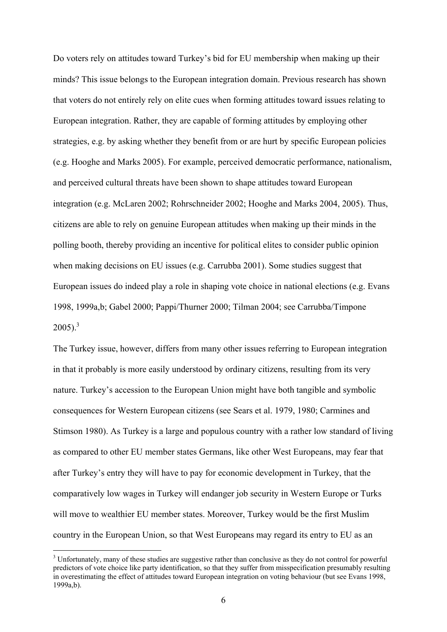Do voters rely on attitudes toward Turkey's bid for EU membership when making up their minds? This issue belongs to the European integration domain. Previous research has shown that voters do not entirely rely on elite cues when forming attitudes toward issues relating to European integration. Rather, they are capable of forming attitudes by employing other strategies, e.g. by asking whether they benefit from or are hurt by specific European policies (e.g. Hooghe and Marks 2005). For example, perceived democratic performance, nationalism, and perceived cultural threats have been shown to shape attitudes toward European integration (e.g. McLaren 2002; Rohrschneider 2002; Hooghe and Marks 2004, 2005). Thus, citizens are able to rely on genuine European attitudes when making up their minds in the polling booth, thereby providing an incentive for political elites to consider public opinion when making decisions on EU issues (e.g. Carrubba 2001). Some studies suggest that European issues do indeed play a role in shaping vote choice in national elections (e.g. Evans 1998, 1999a,b; Gabel 2000; Pappi/Thurner 2000; Tilman 2004; see Carrubba/Timpone  $2005$ ).<sup>3</sup>

The Turkey issue, however, differs from many other issues referring to European integration in that it probably is more easily understood by ordinary citizens, resulting from its very nature. Turkey's accession to the European Union might have both tangible and symbolic consequences for Western European citizens (see Sears et al. 1979, 1980; Carmines and Stimson 1980). As Turkey is a large and populous country with a rather low standard of living as compared to other EU member states Germans, like other West Europeans, may fear that after Turkey's entry they will have to pay for economic development in Turkey, that the comparatively low wages in Turkey will endanger job security in Western Europe or Turks will move to wealthier EU member states. Moreover, Turkey would be the first Muslim country in the European Union, so that West Europeans may regard its entry to EU as an

<sup>&</sup>lt;sup>3</sup> Unfortunately, many of these studies are suggestive rather than conclusive as they do not control for powerful predictors of vote choice like party identification, so that they suffer from misspecification presumably resulting in overestimating the effect of attitudes toward European integration on voting behaviour (but see Evans 1998, 1999a,b).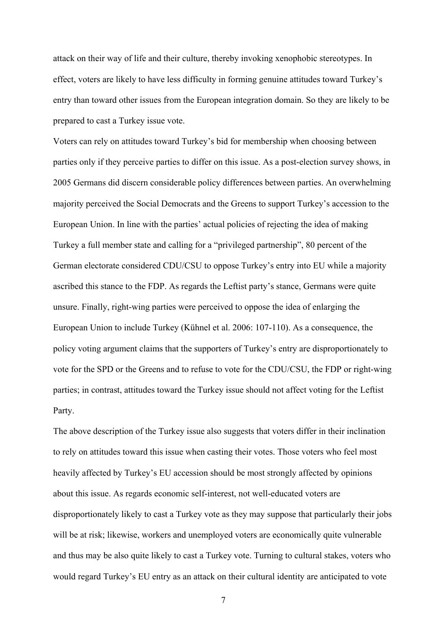attack on their way of life and their culture, thereby invoking xenophobic stereotypes. In effect, voters are likely to have less difficulty in forming genuine attitudes toward Turkey's entry than toward other issues from the European integration domain. So they are likely to be prepared to cast a Turkey issue vote.

Voters can rely on attitudes toward Turkey's bid for membership when choosing between parties only if they perceive parties to differ on this issue. As a post-election survey shows, in 2005 Germans did discern considerable policy differences between parties. An overwhelming majority perceived the Social Democrats and the Greens to support Turkey's accession to the European Union. In line with the parties' actual policies of rejecting the idea of making Turkey a full member state and calling for a "privileged partnership", 80 percent of the German electorate considered CDU/CSU to oppose Turkey's entry into EU while a majority ascribed this stance to the FDP. As regards the Leftist party's stance, Germans were quite unsure. Finally, right-wing parties were perceived to oppose the idea of enlarging the European Union to include Turkey (Kühnel et al. 2006: 107-110). As a consequence, the policy voting argument claims that the supporters of Turkey's entry are disproportionately to vote for the SPD or the Greens and to refuse to vote for the CDU/CSU, the FDP or right-wing parties; in contrast, attitudes toward the Turkey issue should not affect voting for the Leftist Party.

The above description of the Turkey issue also suggests that voters differ in their inclination to rely on attitudes toward this issue when casting their votes. Those voters who feel most heavily affected by Turkey's EU accession should be most strongly affected by opinions about this issue. As regards economic self-interest, not well-educated voters are disproportionately likely to cast a Turkey vote as they may suppose that particularly their jobs will be at risk; likewise, workers and unemployed voters are economically quite vulnerable and thus may be also quite likely to cast a Turkey vote. Turning to cultural stakes, voters who would regard Turkey's EU entry as an attack on their cultural identity are anticipated to vote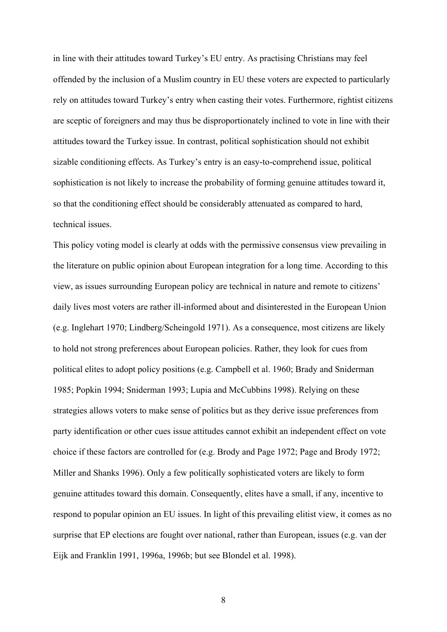in line with their attitudes toward Turkey's EU entry. As practising Christians may feel offended by the inclusion of a Muslim country in EU these voters are expected to particularly rely on attitudes toward Turkey's entry when casting their votes. Furthermore, rightist citizens are sceptic of foreigners and may thus be disproportionately inclined to vote in line with their attitudes toward the Turkey issue. In contrast, political sophistication should not exhibit sizable conditioning effects. As Turkey's entry is an easy-to-comprehend issue, political sophistication is not likely to increase the probability of forming genuine attitudes toward it, so that the conditioning effect should be considerably attenuated as compared to hard, technical issues.

This policy voting model is clearly at odds with the permissive consensus view prevailing in the literature on public opinion about European integration for a long time. According to this view, as issues surrounding European policy are technical in nature and remote to citizens' daily lives most voters are rather ill-informed about and disinterested in the European Union (e.g. Inglehart 1970; Lindberg/Scheingold 1971). As a consequence, most citizens are likely to hold not strong preferences about European policies. Rather, they look for cues from political elites to adopt policy positions (e.g. Campbell et al. 1960; Brady and Sniderman 1985; Popkin 1994; Sniderman 1993; Lupia and McCubbins 1998). Relying on these strategies allows voters to make sense of politics but as they derive issue preferences from party identification or other cues issue attitudes cannot exhibit an independent effect on vote choice if these factors are controlled for (e.g. Brody and Page 1972; Page and Brody 1972; Miller and Shanks 1996). Only a few politically sophisticated voters are likely to form genuine attitudes toward this domain. Consequently, elites have a small, if any, incentive to respond to popular opinion an EU issues. In light of this prevailing elitist view, it comes as no surprise that EP elections are fought over national, rather than European, issues (e.g. van der Eijk and Franklin 1991, 1996a, 1996b; but see Blondel et al. 1998).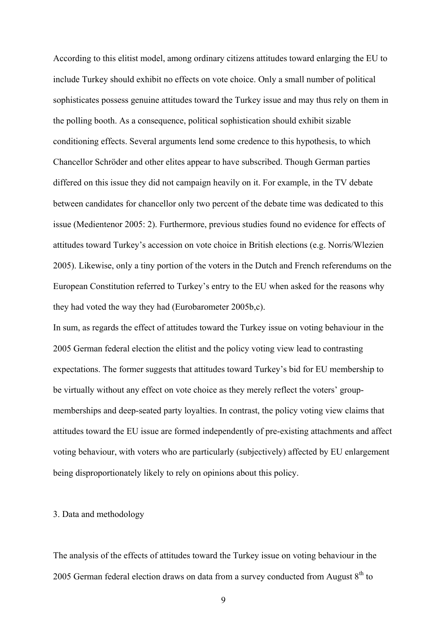According to this elitist model, among ordinary citizens attitudes toward enlarging the EU to include Turkey should exhibit no effects on vote choice. Only a small number of political sophisticates possess genuine attitudes toward the Turkey issue and may thus rely on them in the polling booth. As a consequence, political sophistication should exhibit sizable conditioning effects. Several arguments lend some credence to this hypothesis, to which Chancellor Schröder and other elites appear to have subscribed. Though German parties differed on this issue they did not campaign heavily on it. For example, in the TV debate between candidates for chancellor only two percent of the debate time was dedicated to this issue (Medientenor 2005: 2). Furthermore, previous studies found no evidence for effects of attitudes toward Turkey's accession on vote choice in British elections (e.g. Norris/Wlezien 2005). Likewise, only a tiny portion of the voters in the Dutch and French referendums on the European Constitution referred to Turkey's entry to the EU when asked for the reasons why they had voted the way they had (Eurobarometer 2005b,c).

In sum, as regards the effect of attitudes toward the Turkey issue on voting behaviour in the 2005 German federal election the elitist and the policy voting view lead to contrasting expectations. The former suggests that attitudes toward Turkey's bid for EU membership to be virtually without any effect on vote choice as they merely reflect the voters' groupmemberships and deep-seated party loyalties. In contrast, the policy voting view claims that attitudes toward the EU issue are formed independently of pre-existing attachments and affect voting behaviour, with voters who are particularly (subjectively) affected by EU enlargement being disproportionately likely to rely on opinions about this policy.

# 3. Data and methodology

The analysis of the effects of attitudes toward the Turkey issue on voting behaviour in the 2005 German federal election draws on data from a survey conducted from August  $8<sup>th</sup>$  to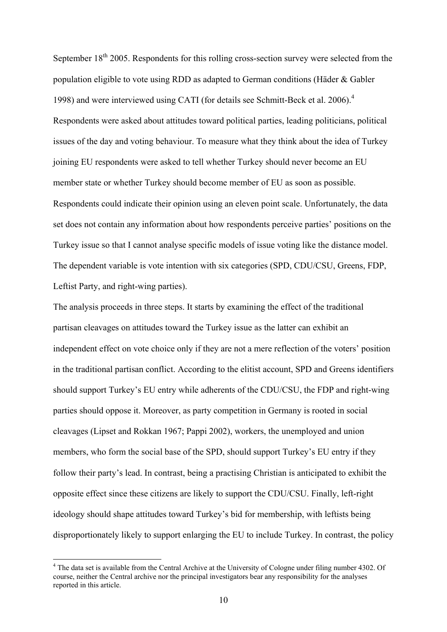September  $18<sup>th</sup>$  2005. Respondents for this rolling cross-section survey were selected from the population eligible to vote using RDD as adapted to German conditions (Häder & Gabler 1998) and were interviewed using CATI (for details see Schmitt-Beck et al. 2006).<sup>4</sup> Respondents were asked about attitudes toward political parties, leading politicians, political issues of the day and voting behaviour. To measure what they think about the idea of Turkey joining EU respondents were asked to tell whether Turkey should never become an EU member state or whether Turkey should become member of EU as soon as possible. Respondents could indicate their opinion using an eleven point scale. Unfortunately, the data set does not contain any information about how respondents perceive parties' positions on the Turkey issue so that I cannot analyse specific models of issue voting like the distance model. The dependent variable is vote intention with six categories (SPD, CDU/CSU, Greens, FDP, Leftist Party, and right-wing parties).

The analysis proceeds in three steps. It starts by examining the effect of the traditional partisan cleavages on attitudes toward the Turkey issue as the latter can exhibit an independent effect on vote choice only if they are not a mere reflection of the voters' position in the traditional partisan conflict. According to the elitist account, SPD and Greens identifiers should support Turkey's EU entry while adherents of the CDU/CSU, the FDP and right-wing parties should oppose it. Moreover, as party competition in Germany is rooted in social cleavages (Lipset and Rokkan 1967; Pappi 2002), workers, the unemployed and union members, who form the social base of the SPD, should support Turkey's EU entry if they follow their party's lead. In contrast, being a practising Christian is anticipated to exhibit the opposite effect since these citizens are likely to support the CDU/CSU. Finally, left-right ideology should shape attitudes toward Turkey's bid for membership, with leftists being disproportionately likely to support enlarging the EU to include Turkey. In contrast, the policy

<sup>&</sup>lt;sup>4</sup> The data set is available from the Central Archive at the University of Cologne under filing number 4302. Of course, neither the Central archive nor the principal investigators bear any responsibility for the analyses reported in this article.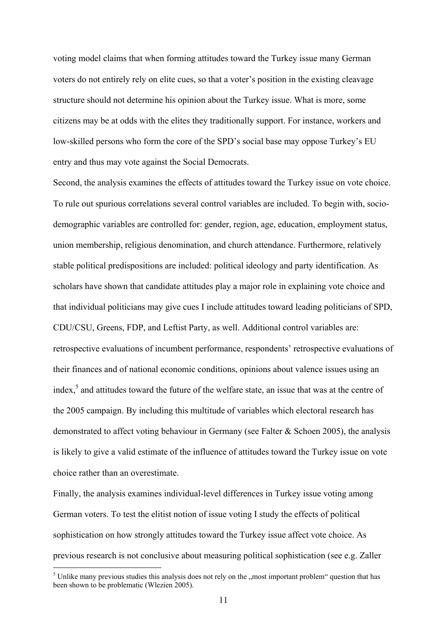voting model claims that when forming attitudes toward the Turkey issue many German voters do not entirely rely on elite cues, so that a voter's position in the existing cleavage structure should not determine his opinion about the Turkey issue. What is more, some citizens may be at odds with the elites they traditionally support. For instance, workers and low-skilled persons who form the core of the SPD's social base may oppose Turkey's EU entry and thus may vote against the Social Democrats.

Second, the analysis examines the effects of attitudes toward the Turkey issue on vote choice. To rule out spurious correlations several control variables are included. To begin with, sociodemographic variables are controlled for: gender, region, age, education, employment status, union membership, religious denomination, and church attendance. Furthermore, relatively stable political predispositions are included: political ideology and party identification. As scholars have shown that candidate attitudes play a major role in explaining vote choice and that individual politicians may give cues I include attitudes toward leading politicians of SPD, CDU/CSU, Greens, FDP, and Leftist Party, as well. Additional control variables are: retrospective evaluations of incumbent performance, respondents' retrospective evaluations of their finances and of national economic conditions, opinions about valence issues using an index,<sup>5</sup> and attitudes toward the future of the welfare state, an issue that was at the centre of the 2005 campaign. By including this multitude of variables which electoral research has demonstrated to affect voting behaviour in Germany (see Falter & Schoen 2005), the analysis is likely to give a valid estimate of the influence of attitudes toward the Turkey issue on vote choice rather than an overestimate.

Finally, the analysis examines individual-level differences in Turkey issue voting among German voters. To test the elitist notion of issue voting I study the effects of political sophistication on how strongly attitudes toward the Turkey issue affect vote choice. As previous research is not conclusive about measuring political sophistication (see e.g. Zaller

 $<sup>5</sup>$  Unlike many previous studies this analysis does not rely on the "most important problem" question that has</sup> been shown to be problematic (Wlezien 2005).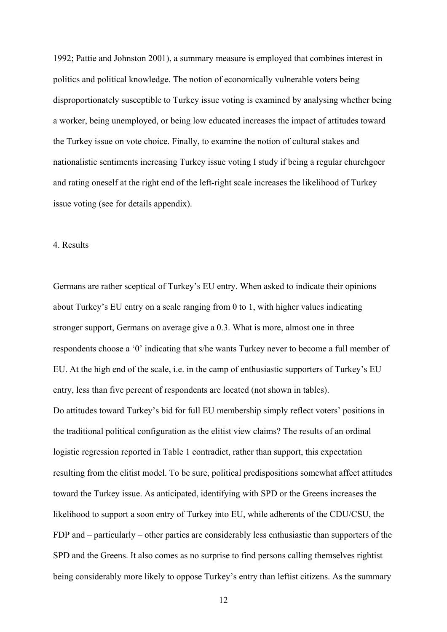1992; Pattie and Johnston 2001), a summary measure is employed that combines interest in politics and political knowledge. The notion of economically vulnerable voters being disproportionately susceptible to Turkey issue voting is examined by analysing whether being a worker, being unemployed, or being low educated increases the impact of attitudes toward the Turkey issue on vote choice. Finally, to examine the notion of cultural stakes and nationalistic sentiments increasing Turkey issue voting I study if being a regular churchgoer and rating oneself at the right end of the left-right scale increases the likelihood of Turkey issue voting (see for details appendix).

# 4. Results

Germans are rather sceptical of Turkey's EU entry. When asked to indicate their opinions about Turkey's EU entry on a scale ranging from 0 to 1, with higher values indicating stronger support, Germans on average give a 0.3. What is more, almost one in three respondents choose a '0' indicating that s/he wants Turkey never to become a full member of EU. At the high end of the scale, i.e. in the camp of enthusiastic supporters of Turkey's EU entry, less than five percent of respondents are located (not shown in tables). Do attitudes toward Turkey's bid for full EU membership simply reflect voters' positions in the traditional political configuration as the elitist view claims? The results of an ordinal logistic regression reported in Table 1 contradict, rather than support, this expectation resulting from the elitist model. To be sure, political predispositions somewhat affect attitudes toward the Turkey issue. As anticipated, identifying with SPD or the Greens increases the likelihood to support a soon entry of Turkey into EU, while adherents of the CDU/CSU, the FDP and – particularly – other parties are considerably less enthusiastic than supporters of the SPD and the Greens. It also comes as no surprise to find persons calling themselves rightist being considerably more likely to oppose Turkey's entry than leftist citizens. As the summary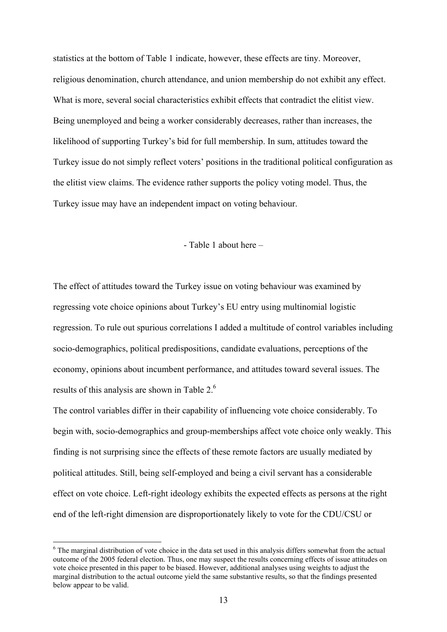statistics at the bottom of Table 1 indicate, however, these effects are tiny. Moreover, religious denomination, church attendance, and union membership do not exhibit any effect. What is more, several social characteristics exhibit effects that contradict the elitist view. Being unemployed and being a worker considerably decreases, rather than increases, the likelihood of supporting Turkey's bid for full membership. In sum, attitudes toward the Turkey issue do not simply reflect voters' positions in the traditional political configuration as the elitist view claims. The evidence rather supports the policy voting model. Thus, the Turkey issue may have an independent impact on voting behaviour.

### - Table 1 about here –

The effect of attitudes toward the Turkey issue on voting behaviour was examined by regressing vote choice opinions about Turkey's EU entry using multinomial logistic regression. To rule out spurious correlations I added a multitude of control variables including socio-demographics, political predispositions, candidate evaluations, perceptions of the economy, opinions about incumbent performance, and attitudes toward several issues. The results of this analysis are shown in Table 2.6

The control variables differ in their capability of influencing vote choice considerably. To begin with, socio-demographics and group-memberships affect vote choice only weakly. This finding is not surprising since the effects of these remote factors are usually mediated by political attitudes. Still, being self-employed and being a civil servant has a considerable effect on vote choice. Left-right ideology exhibits the expected effects as persons at the right end of the left-right dimension are disproportionately likely to vote for the CDU/CSU or

<sup>&</sup>lt;sup>6</sup> The marginal distribution of vote choice in the data set used in this analysis differs somewhat from the actual outcome of the 2005 federal election. Thus, one may suspect the results concerning effects of issue attitudes on vote choice presented in this paper to be biased. However, additional analyses using weights to adjust the marginal distribution to the actual outcome yield the same substantive results, so that the findings presented below appear to be valid.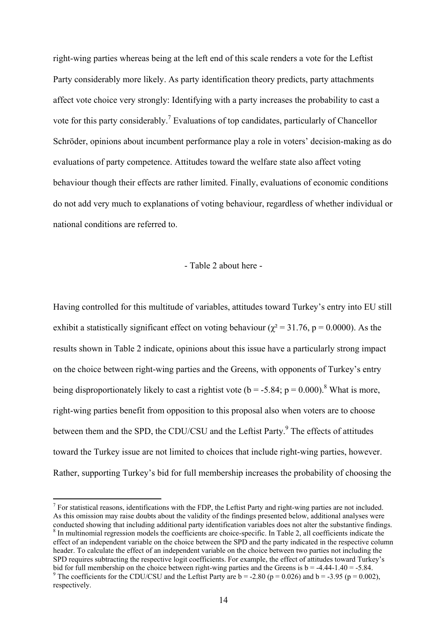right-wing parties whereas being at the left end of this scale renders a vote for the Leftist Party considerably more likely. As party identification theory predicts, party attachments affect vote choice very strongly: Identifying with a party increases the probability to cast a vote for this party considerably.<sup>7</sup> Evaluations of top candidates, particularly of Chancellor Schröder, opinions about incumbent performance play a role in voters' decision-making as do evaluations of party competence. Attitudes toward the welfare state also affect voting behaviour though their effects are rather limited. Finally, evaluations of economic conditions do not add very much to explanations of voting behaviour, regardless of whether individual or national conditions are referred to.

#### - Table 2 about here -

Having controlled for this multitude of variables, attitudes toward Turkey's entry into EU still exhibit a statistically significant effect on voting behaviour ( $\chi^2$  = 31.76, p = 0.0000). As the results shown in Table 2 indicate, opinions about this issue have a particularly strong impact on the choice between right-wing parties and the Greens, with opponents of Turkey's entry being disproportionately likely to cast a rightist vote ( $b = -5.84$ ;  $p = 0.000$ ).<sup>8</sup> What is more, right-wing parties benefit from opposition to this proposal also when voters are to choose between them and the SPD, the CDU/CSU and the Leftist Party.<sup>9</sup> The effects of attitudes toward the Turkey issue are not limited to choices that include right-wing parties, however. Rather, supporting Turkey's bid for full membership increases the probability of choosing the

 $<sup>7</sup>$  For statistical reasons, identifications with the FDP, the Leftist Party and right-wing parties are not included.</sup> As this omission may raise doubts about the validity of the findings presented below, additional analyses were conducted showing that including additional party identification variables does not alter the substantive findings. <sup>8</sup> In multinomial regression models the coefficients are choice-specific. In Table 2, all coefficients indicate the effect of an independent variable on the choice between the SPD and the party indicated in the respective column header. To calculate the effect of an independent variable on the choice between two parties not including the SPD requires subtracting the respective logit coefficients. For example, the effect of attitudes toward Turkey's bid for full membership on the choice between right-wing parties and the Greens is  $b = -4.44 - 1.40 = -5.84$ . <sup>9</sup> The coefficients for the CDU/CSU and the Leftist Party are  $b = -2.80$  ( $p = 0.026$ ) and  $b = -3.95$  ( $p = 0.002$ ), respectively.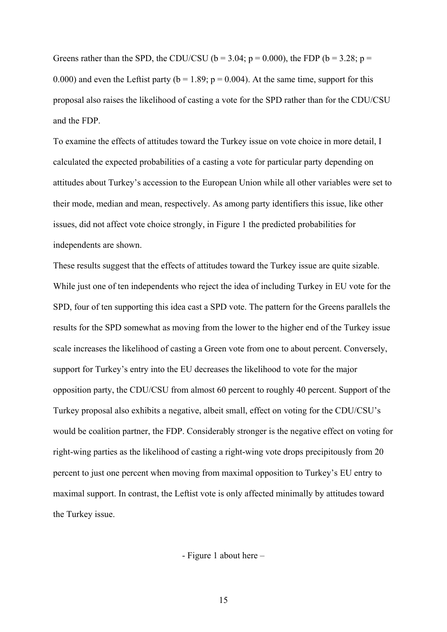Greens rather than the SPD, the CDU/CSU ( $b = 3.04$ ;  $p = 0.000$ ), the FDP ( $b = 3.28$ ;  $p =$ 0.000) and even the Leftist party ( $b = 1.89$ ;  $p = 0.004$ ). At the same time, support for this proposal also raises the likelihood of casting a vote for the SPD rather than for the CDU/CSU and the FDP.

To examine the effects of attitudes toward the Turkey issue on vote choice in more detail, I calculated the expected probabilities of a casting a vote for particular party depending on attitudes about Turkey's accession to the European Union while all other variables were set to their mode, median and mean, respectively. As among party identifiers this issue, like other issues, did not affect vote choice strongly, in Figure 1 the predicted probabilities for independents are shown.

These results suggest that the effects of attitudes toward the Turkey issue are quite sizable. While just one of ten independents who reject the idea of including Turkey in EU vote for the SPD, four of ten supporting this idea cast a SPD vote. The pattern for the Greens parallels the results for the SPD somewhat as moving from the lower to the higher end of the Turkey issue scale increases the likelihood of casting a Green vote from one to about percent. Conversely, support for Turkey's entry into the EU decreases the likelihood to vote for the major opposition party, the CDU/CSU from almost 60 percent to roughly 40 percent. Support of the Turkey proposal also exhibits a negative, albeit small, effect on voting for the CDU/CSU's would be coalition partner, the FDP. Considerably stronger is the negative effect on voting for right-wing parties as the likelihood of casting a right-wing vote drops precipitously from 20 percent to just one percent when moving from maximal opposition to Turkey's EU entry to maximal support. In contrast, the Leftist vote is only affected minimally by attitudes toward the Turkey issue.

- Figure 1 about here –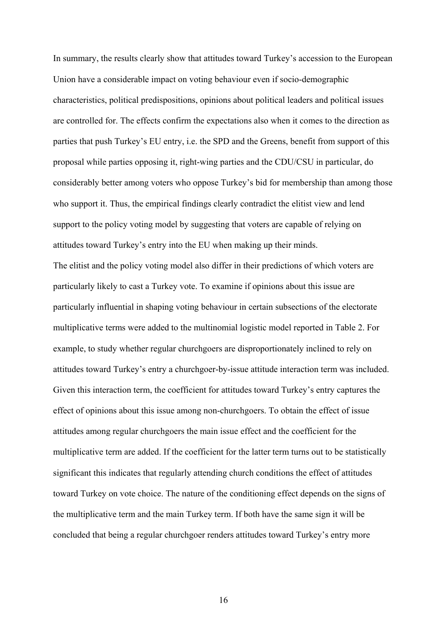In summary, the results clearly show that attitudes toward Turkey's accession to the European Union have a considerable impact on voting behaviour even if socio-demographic characteristics, political predispositions, opinions about political leaders and political issues are controlled for. The effects confirm the expectations also when it comes to the direction as parties that push Turkey's EU entry, i.e. the SPD and the Greens, benefit from support of this proposal while parties opposing it, right-wing parties and the CDU/CSU in particular, do considerably better among voters who oppose Turkey's bid for membership than among those who support it. Thus, the empirical findings clearly contradict the elitist view and lend support to the policy voting model by suggesting that voters are capable of relying on attitudes toward Turkey's entry into the EU when making up their minds. The elitist and the policy voting model also differ in their predictions of which voters are particularly likely to cast a Turkey vote. To examine if opinions about this issue are particularly influential in shaping voting behaviour in certain subsections of the electorate multiplicative terms were added to the multinomial logistic model reported in Table 2. For example, to study whether regular churchgoers are disproportionately inclined to rely on attitudes toward Turkey's entry a churchgoer-by-issue attitude interaction term was included. Given this interaction term, the coefficient for attitudes toward Turkey's entry captures the effect of opinions about this issue among non-churchgoers. To obtain the effect of issue attitudes among regular churchgoers the main issue effect and the coefficient for the multiplicative term are added. If the coefficient for the latter term turns out to be statistically significant this indicates that regularly attending church conditions the effect of attitudes toward Turkey on vote choice. The nature of the conditioning effect depends on the signs of the multiplicative term and the main Turkey term. If both have the same sign it will be concluded that being a regular churchgoer renders attitudes toward Turkey's entry more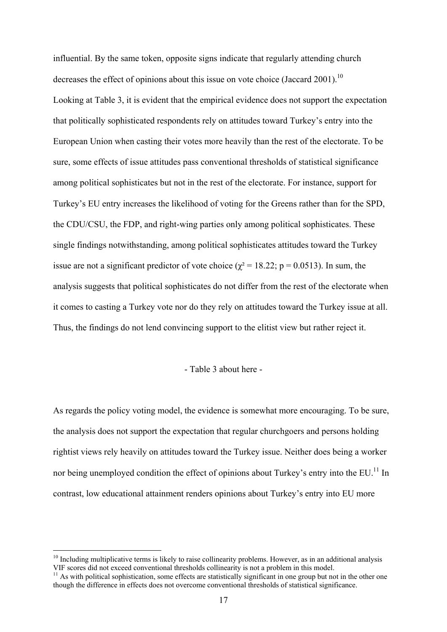influential. By the same token, opposite signs indicate that regularly attending church decreases the effect of opinions about this issue on vote choice (Jaccard 2001).<sup>10</sup> Looking at Table 3, it is evident that the empirical evidence does not support the expectation that politically sophisticated respondents rely on attitudes toward Turkey's entry into the European Union when casting their votes more heavily than the rest of the electorate. To be sure, some effects of issue attitudes pass conventional thresholds of statistical significance among political sophisticates but not in the rest of the electorate. For instance, support for Turkey's EU entry increases the likelihood of voting for the Greens rather than for the SPD, the CDU/CSU, the FDP, and right-wing parties only among political sophisticates. These single findings notwithstanding, among political sophisticates attitudes toward the Turkey issue are not a significant predictor of vote choice ( $\chi^2 = 18.22$ ; p = 0.0513). In sum, the analysis suggests that political sophisticates do not differ from the rest of the electorate when it comes to casting a Turkey vote nor do they rely on attitudes toward the Turkey issue at all. Thus, the findings do not lend convincing support to the elitist view but rather reject it.

#### - Table 3 about here -

As regards the policy voting model, the evidence is somewhat more encouraging. To be sure, the analysis does not support the expectation that regular churchgoers and persons holding rightist views rely heavily on attitudes toward the Turkey issue. Neither does being a worker nor being unemployed condition the effect of opinions about Turkey's entry into the EU.<sup>11</sup> In contrast, low educational attainment renders opinions about Turkey's entry into EU more

 $10$  Including multiplicative terms is likely to raise collinearity problems. However, as in an additional analysis VIF scores did not exceed conventional thresholds collinearity is not a problem in this model.<br><sup>11</sup> As with political sophistication, some effects are statistically significant in one group but not in the other one

though the difference in effects does not overcome conventional thresholds of statistical significance.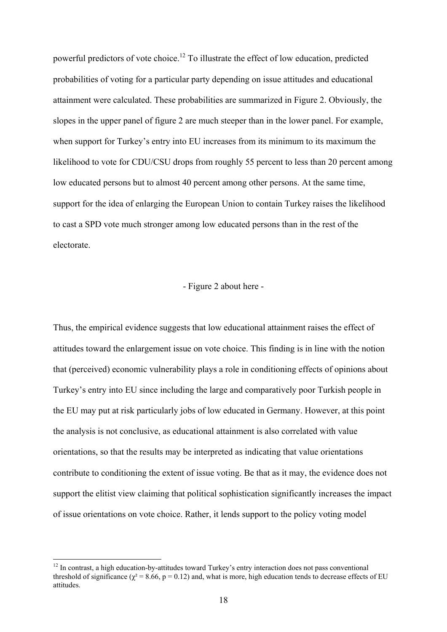powerful predictors of vote choice.12 To illustrate the effect of low education, predicted probabilities of voting for a particular party depending on issue attitudes and educational attainment were calculated. These probabilities are summarized in Figure 2. Obviously, the slopes in the upper panel of figure 2 are much steeper than in the lower panel. For example, when support for Turkey's entry into EU increases from its minimum to its maximum the likelihood to vote for CDU/CSU drops from roughly 55 percent to less than 20 percent among low educated persons but to almost 40 percent among other persons. At the same time, support for the idea of enlarging the European Union to contain Turkey raises the likelihood to cast a SPD vote much stronger among low educated persons than in the rest of the electorate.

# - Figure 2 about here -

Thus, the empirical evidence suggests that low educational attainment raises the effect of attitudes toward the enlargement issue on vote choice. This finding is in line with the notion that (perceived) economic vulnerability plays a role in conditioning effects of opinions about Turkey's entry into EU since including the large and comparatively poor Turkish people in the EU may put at risk particularly jobs of low educated in Germany. However, at this point the analysis is not conclusive, as educational attainment is also correlated with value orientations, so that the results may be interpreted as indicating that value orientations contribute to conditioning the extent of issue voting. Be that as it may, the evidence does not support the elitist view claiming that political sophistication significantly increases the impact of issue orientations on vote choice. Rather, it lends support to the policy voting model

<sup>&</sup>lt;sup>12</sup> In contrast, a high education-by-attitudes toward Turkey's entry interaction does not pass conventional threshold of significance ( $\chi^2$  = 8.66, p = 0.12) and, what is more, high education tends to decrease effects of EU attitudes.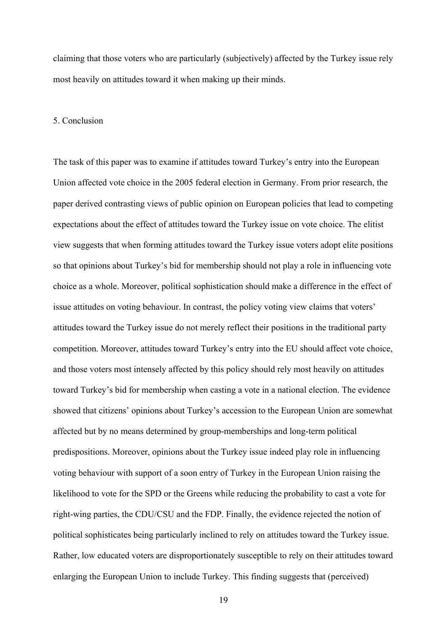claiming that those voters who are particularly (subjectively) affected by the Turkey issue rely most heavily on attitudes toward it when making up their minds.

# 5. Conclusion

The task of this paper was to examine if attitudes toward Turkey's entry into the European Union affected vote choice in the 2005 federal election in Germany. From prior research, the paper derived contrasting views of public opinion on European policies that lead to competing expectations about the effect of attitudes toward the Turkey issue on vote choice. The elitist view suggests that when forming attitudes toward the Turkey issue voters adopt elite positions so that opinions about Turkey's bid for membership should not play a role in influencing vote choice as a whole. Moreover, political sophistication should make a difference in the effect of issue attitudes on voting behaviour. In contrast, the policy voting view claims that voters' attitudes toward the Turkey issue do not merely reflect their positions in the traditional party competition. Moreover, attitudes toward Turkey's entry into the EU should affect vote choice, and those voters most intensely affected by this policy should rely most heavily on attitudes toward Turkey's bid for membership when casting a vote in a national election. The evidence showed that citizens' opinions about Turkey's accession to the European Union are somewhat affected but by no means determined by group-memberships and long-term political predispositions. Moreover, opinions about the Turkey issue indeed play role in influencing voting behaviour with support of a soon entry of Turkey in the European Union raising the likelihood to vote for the SPD or the Greens while reducing the probability to cast a vote for right-wing parties, the CDU/CSU and the FDP. Finally, the evidence rejected the notion of political sophisticates being particularly inclined to rely on attitudes toward the Turkey issue. Rather, low educated voters are disproportionately susceptible to rely on their attitudes toward enlarging the European Union to include Turkey. This finding suggests that (perceived)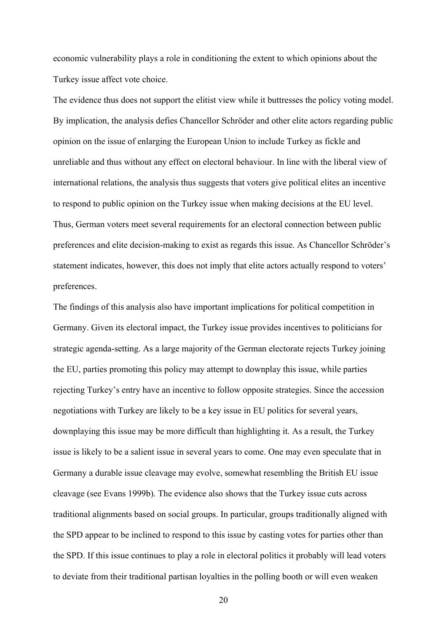economic vulnerability plays a role in conditioning the extent to which opinions about the Turkey issue affect vote choice.

The evidence thus does not support the elitist view while it buttresses the policy voting model. By implication, the analysis defies Chancellor Schröder and other elite actors regarding public opinion on the issue of enlarging the European Union to include Turkey as fickle and unreliable and thus without any effect on electoral behaviour. In line with the liberal view of international relations, the analysis thus suggests that voters give political elites an incentive to respond to public opinion on the Turkey issue when making decisions at the EU level. Thus, German voters meet several requirements for an electoral connection between public preferences and elite decision-making to exist as regards this issue. As Chancellor Schröder's statement indicates, however, this does not imply that elite actors actually respond to voters' preferences.

The findings of this analysis also have important implications for political competition in Germany. Given its electoral impact, the Turkey issue provides incentives to politicians for strategic agenda-setting. As a large majority of the German electorate rejects Turkey joining the EU, parties promoting this policy may attempt to downplay this issue, while parties rejecting Turkey's entry have an incentive to follow opposite strategies. Since the accession negotiations with Turkey are likely to be a key issue in EU politics for several years, downplaying this issue may be more difficult than highlighting it. As a result, the Turkey issue is likely to be a salient issue in several years to come. One may even speculate that in Germany a durable issue cleavage may evolve, somewhat resembling the British EU issue cleavage (see Evans 1999b). The evidence also shows that the Turkey issue cuts across traditional alignments based on social groups. In particular, groups traditionally aligned with the SPD appear to be inclined to respond to this issue by casting votes for parties other than the SPD. If this issue continues to play a role in electoral politics it probably will lead voters to deviate from their traditional partisan loyalties in the polling booth or will even weaken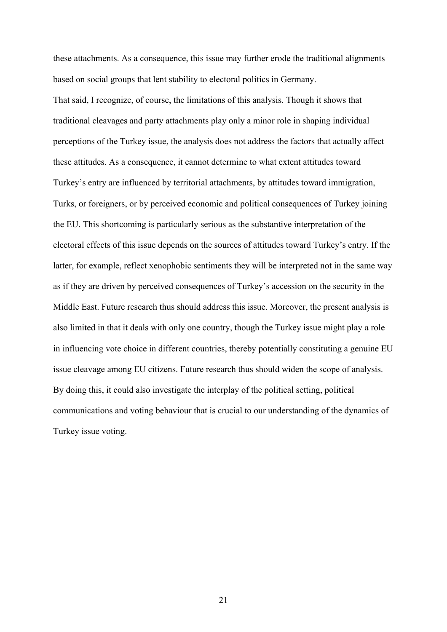these attachments. As a consequence, this issue may further erode the traditional alignments based on social groups that lent stability to electoral politics in Germany.

That said, I recognize, of course, the limitations of this analysis. Though it shows that traditional cleavages and party attachments play only a minor role in shaping individual perceptions of the Turkey issue, the analysis does not address the factors that actually affect these attitudes. As a consequence, it cannot determine to what extent attitudes toward Turkey's entry are influenced by territorial attachments, by attitudes toward immigration, Turks, or foreigners, or by perceived economic and political consequences of Turkey joining the EU. This shortcoming is particularly serious as the substantive interpretation of the electoral effects of this issue depends on the sources of attitudes toward Turkey's entry. If the latter, for example, reflect xenophobic sentiments they will be interpreted not in the same way as if they are driven by perceived consequences of Turkey's accession on the security in the Middle East. Future research thus should address this issue. Moreover, the present analysis is also limited in that it deals with only one country, though the Turkey issue might play a role in influencing vote choice in different countries, thereby potentially constituting a genuine EU issue cleavage among EU citizens. Future research thus should widen the scope of analysis. By doing this, it could also investigate the interplay of the political setting, political communications and voting behaviour that is crucial to our understanding of the dynamics of Turkey issue voting.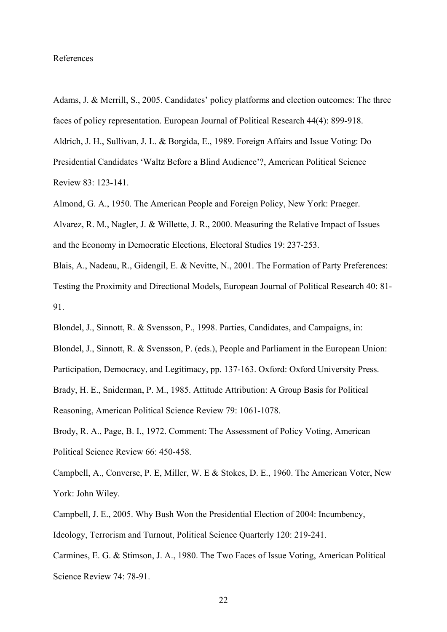### References

Adams, J. & Merrill, S., 2005. Candidates' policy platforms and election outcomes: The three faces of policy representation. European Journal of Political Research 44(4): 899-918. Aldrich, J. H., Sullivan, J. L. & Borgida, E., 1989. Foreign Affairs and Issue Voting: Do Presidential Candidates 'Waltz Before a Blind Audience'?, American Political Science Review 83: 123-141.

Almond, G. A., 1950. The American People and Foreign Policy, New York: Praeger. Alvarez, R. M., Nagler, J. & Willette, J. R., 2000. Measuring the Relative Impact of Issues and the Economy in Democratic Elections, Electoral Studies 19: 237-253.

Blais, A., Nadeau, R., Gidengil, E. & Nevitte, N., 2001. The Formation of Party Preferences: Testing the Proximity and Directional Models, European Journal of Political Research 40: 81- 91.

Blondel, J., Sinnott, R. & Svensson, P., 1998. Parties, Candidates, and Campaigns, in: Blondel, J., Sinnott, R. & Svensson, P. (eds.), People and Parliament in the European Union: Participation, Democracy, and Legitimacy, pp. 137-163. Oxford: Oxford University Press. Brady, H. E., Sniderman, P. M., 1985. Attitude Attribution: A Group Basis for Political Reasoning, American Political Science Review 79: 1061-1078.

Brody, R. A., Page, B. I., 1972. Comment: The Assessment of Policy Voting, American Political Science Review 66: 450-458.

Campbell, A., Converse, P. E, Miller, W. E & Stokes, D. E., 1960. The American Voter, New York: John Wiley.

Campbell, J. E., 2005. Why Bush Won the Presidential Election of 2004: Incumbency,

Ideology, Terrorism and Turnout, Political Science Quarterly 120: 219-241.

Carmines, E. G. & Stimson, J. A., 1980. The Two Faces of Issue Voting, American Political Science Review 74: 78-91.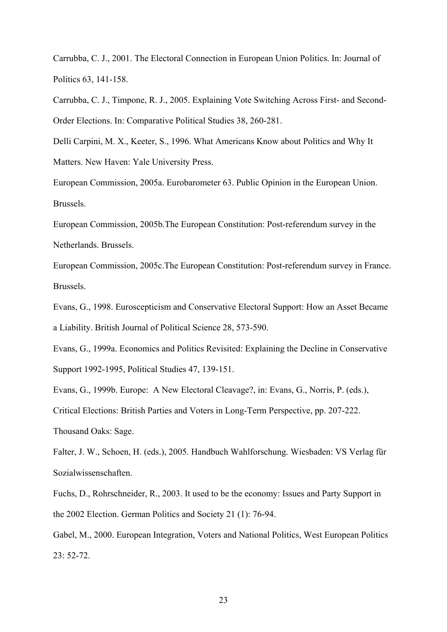Carrubba, C. J., 2001. The Electoral Connection in European Union Politics. In: Journal of Politics 63, 141-158.

Carrubba, C. J., Timpone, R. J., 2005. Explaining Vote Switching Across First- and Second-Order Elections. In: Comparative Political Studies 38, 260-281.

Delli Carpini, M. X., Keeter, S., 1996. What Americans Know about Politics and Why It Matters. New Haven: Yale University Press.

European Commission, 2005a. Eurobarometer 63. Public Opinion in the European Union. Brussels.

European Commission, 2005b.The European Constitution: Post-referendum survey in the Netherlands. Brussels.

European Commission, 2005c.The European Constitution: Post-referendum survey in France. Brussels.

Evans, G., 1998. Euroscepticism and Conservative Electoral Support: How an Asset Became a Liability. British Journal of Political Science 28, 573-590.

Evans, G., 1999a. Economics and Politics Revisited: Explaining the Decline in Conservative Support 1992-1995, Political Studies 47, 139-151.

Evans, G., 1999b. Europe: A New Electoral Cleavage?, in: Evans, G., Norris, P. (eds.),

Critical Elections: British Parties and Voters in Long-Term Perspective, pp. 207-222.

Thousand Oaks: Sage.

Falter, J. W., Schoen, H. (eds.), 2005. Handbuch Wahlforschung. Wiesbaden: VS Verlag für Sozialwissenschaften.

Fuchs, D., Rohrschneider, R., 2003. It used to be the economy: Issues and Party Support in the 2002 Election. German Politics and Society 21 (1): 76-94.

Gabel, M., 2000. European Integration, Voters and National Politics, West European Politics 23: 52-72.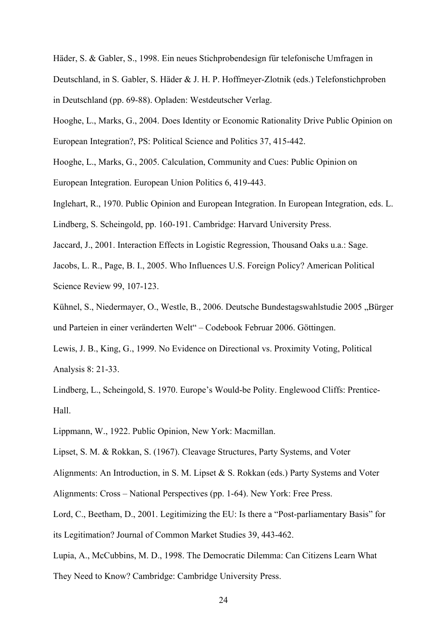Häder, S. & Gabler, S., 1998. Ein neues Stichprobendesign für telefonische Umfragen in Deutschland, in S. Gabler, S. Häder & J. H. P. Hoffmeyer-Zlotnik (eds.) Telefonstichproben in Deutschland (pp. 69-88). Opladen: Westdeutscher Verlag.

Hooghe, L., Marks, G., 2004. Does Identity or Economic Rationality Drive Public Opinion on European Integration?, PS: Political Science and Politics 37, 415-442.

Hooghe, L., Marks, G., 2005. Calculation, Community and Cues: Public Opinion on European Integration. European Union Politics 6, 419-443.

Inglehart, R., 1970. Public Opinion and European Integration. In European Integration, eds. L.

Lindberg, S. Scheingold, pp. 160-191. Cambridge: Harvard University Press.

Jaccard, J., 2001. Interaction Effects in Logistic Regression, Thousand Oaks u.a.: Sage.

Jacobs, L. R., Page, B. I., 2005. Who Influences U.S. Foreign Policy? American Political Science Review 99, 107-123.

Kühnel, S., Niedermayer, O., Westle, B., 2006. Deutsche Bundestagswahlstudie 2005 "Bürger und Parteien in einer veränderten Welt" – Codebook Februar 2006. Göttingen.

Lewis, J. B., King, G., 1999. No Evidence on Directional vs. Proximity Voting, Political Analysis 8: 21-33.

Lindberg, L., Scheingold, S. 1970. Europe's Would-be Polity. Englewood Cliffs: Prentice-Hall.

Lippmann, W., 1922. Public Opinion, New York: Macmillan.

Lipset, S. M. & Rokkan, S. (1967). Cleavage Structures, Party Systems, and Voter

Alignments: An Introduction, in S. M. Lipset & S. Rokkan (eds.) Party Systems and Voter

Alignments: Cross – National Perspectives (pp. 1-64). New York: Free Press.

Lord, C., Beetham, D., 2001. Legitimizing the EU: Is there a "Post-parliamentary Basis" for its Legitimation? Journal of Common Market Studies 39, 443-462.

Lupia, A., McCubbins, M. D., 1998. The Democratic Dilemma: Can Citizens Learn What They Need to Know? Cambridge: Cambridge University Press.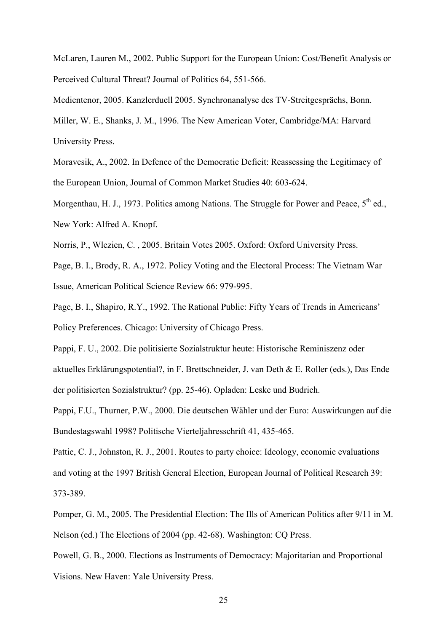McLaren, Lauren M., 2002. Public Support for the European Union: Cost/Benefit Analysis or Perceived Cultural Threat? Journal of Politics 64, 551-566.

Medientenor, 2005. Kanzlerduell 2005. Synchronanalyse des TV-Streitgesprächs, Bonn. Miller, W. E., Shanks, J. M., 1996. The New American Voter, Cambridge/MA: Harvard

University Press.

Moravcsik, A., 2002. In Defence of the Democratic Deficit: Reassessing the Legitimacy of the European Union, Journal of Common Market Studies 40: 603-624.

Morgenthau, H. J., 1973. Politics among Nations. The Struggle for Power and Peace,  $5<sup>th</sup>$  ed., New York: Alfred A. Knopf.

Norris, P., Wlezien, C. , 2005. Britain Votes 2005. Oxford: Oxford University Press.

Page, B. I., Brody, R. A., 1972. Policy Voting and the Electoral Process: The Vietnam War Issue, American Political Science Review 66: 979-995.

Page, B. I., Shapiro, R.Y., 1992. The Rational Public: Fifty Years of Trends in Americans' Policy Preferences. Chicago: University of Chicago Press.

Pappi, F. U., 2002. Die politisierte Sozialstruktur heute: Historische Reminiszenz oder aktuelles Erklärungspotential?, in F. Brettschneider, J. van Deth & E. Roller (eds.), Das Ende der politisierten Sozialstruktur? (pp. 25-46). Opladen: Leske und Budrich.

Pappi, F.U., Thurner, P.W., 2000. Die deutschen Wähler und der Euro: Auswirkungen auf die Bundestagswahl 1998? Politische Vierteljahresschrift 41, 435-465.

Pattie, C. J., Johnston, R. J., 2001. Routes to party choice: Ideology, economic evaluations and voting at the 1997 British General Election, European Journal of Political Research 39: 373-389.

Pomper, G. M., 2005. The Presidential Election: The Ills of American Politics after 9/11 in M. Nelson (ed.) The Elections of 2004 (pp. 42-68). Washington: CQ Press.

Powell, G. B., 2000. Elections as Instruments of Democracy: Majoritarian and Proportional Visions. New Haven: Yale University Press.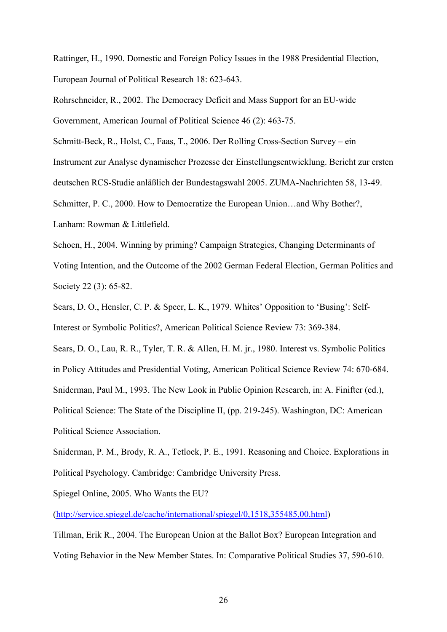Rattinger, H., 1990. Domestic and Foreign Policy Issues in the 1988 Presidential Election, European Journal of Political Research 18: 623-643.

Rohrschneider, R., 2002. The Democracy Deficit and Mass Support for an EU-wide Government, American Journal of Political Science 46 (2): 463-75.

Schmitt-Beck, R., Holst, C., Faas, T., 2006. Der Rolling Cross-Section Survey – ein Instrument zur Analyse dynamischer Prozesse der Einstellungsentwicklung. Bericht zur ersten deutschen RCS-Studie anläßlich der Bundestagswahl 2005. ZUMA-Nachrichten 58, 13-49. Schmitter, P. C., 2000. How to Democratize the European Union…and Why Bother?, Lanham: Rowman & Littlefield.

Schoen, H., 2004. Winning by priming? Campaign Strategies, Changing Determinants of Voting Intention, and the Outcome of the 2002 German Federal Election, German Politics and Society 22 (3): 65-82.

Sears, D. O., Hensler, C. P. & Speer, L. K., 1979. Whites' Opposition to 'Busing': Self-Interest or Symbolic Politics?, American Political Science Review 73: 369-384.

Sears, D. O., Lau, R. R., Tyler, T. R. & Allen, H. M. jr., 1980. Interest vs. Symbolic Politics in Policy Attitudes and Presidential Voting, American Political Science Review 74: 670-684. Sniderman, Paul M., 1993. The New Look in Public Opinion Research, in: A. Finifter (ed.), Political Science: The State of the Discipline II, (pp. 219-245). Washington, DC: American Political Science Association.

Sniderman, P. M., Brody, R. A., Tetlock, P. E., 1991. Reasoning and Choice. Explorations in Political Psychology. Cambridge: Cambridge University Press.

Spiegel Online, 2005. Who Wants the EU?

(http://service.spiegel.de/cache/international/spiegel/0,1518,355485,00.html)

Tillman, Erik R., 2004. The European Union at the Ballot Box? European Integration and Voting Behavior in the New Member States. In: Comparative Political Studies 37, 590-610.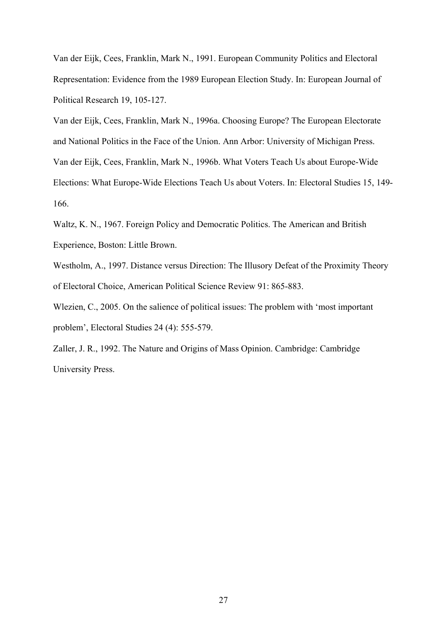Van der Eijk, Cees, Franklin, Mark N., 1991. European Community Politics and Electoral Representation: Evidence from the 1989 European Election Study. In: European Journal of Political Research 19, 105-127.

Van der Eijk, Cees, Franklin, Mark N., 1996a. Choosing Europe? The European Electorate and National Politics in the Face of the Union. Ann Arbor: University of Michigan Press. Van der Eijk, Cees, Franklin, Mark N., 1996b. What Voters Teach Us about Europe-Wide Elections: What Europe-Wide Elections Teach Us about Voters. In: Electoral Studies 15, 149- 166.

Waltz, K. N., 1967. Foreign Policy and Democratic Politics. The American and British Experience, Boston: Little Brown.

Westholm, A., 1997. Distance versus Direction: The Illusory Defeat of the Proximity Theory of Electoral Choice, American Political Science Review 91: 865-883.

Wlezien, C., 2005. On the salience of political issues: The problem with 'most important problem', Electoral Studies 24 (4): 555-579.

Zaller, J. R., 1992. The Nature and Origins of Mass Opinion. Cambridge: Cambridge University Press.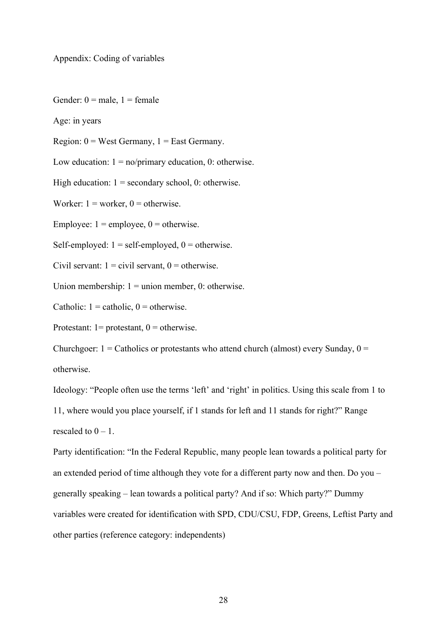Appendix: Coding of variables

Gender:  $0 =$  male,  $1 =$  female

Age: in years

Region:  $0 =$  West Germany,  $1 =$  East Germany.

Low education:  $1 = no/primary$  education, 0: otherwise.

High education:  $1 =$  secondary school, 0: otherwise.

Worker:  $1 = \text{worker}, 0 = \text{otherwise}.$ 

Employee:  $1 = \text{employee}, 0 = \text{otherwise}.$ 

Self-employed:  $1 = self-emploved$ ,  $0 = otherwise$ .

Civil servant:  $1 =$  civil servant,  $0 =$  otherwise.

Union membership:  $1 =$  union member, 0: otherwise.

Catholic:  $1 =$  catholic,  $0 =$  otherwise.

Protestant:  $l =$  protestant,  $0 =$  otherwise.

Churchgoer:  $1 =$  Catholics or protestants who attend church (almost) every Sunday,  $0 =$ otherwise.

Ideology: "People often use the terms 'left' and 'right' in politics. Using this scale from 1 to

11, where would you place yourself, if 1 stands for left and 11 stands for right?" Range rescaled to  $0 - 1$ .

Party identification: "In the Federal Republic, many people lean towards a political party for an extended period of time although they vote for a different party now and then. Do you – generally speaking – lean towards a political party? And if so: Which party?" Dummy variables were created for identification with SPD, CDU/CSU, FDP, Greens, Leftist Party and other parties (reference category: independents)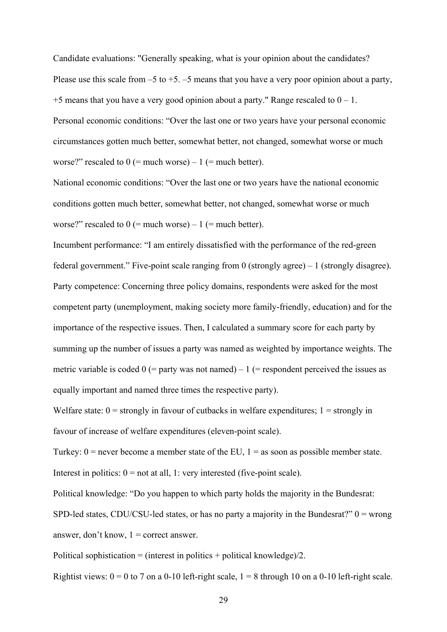Candidate evaluations: "Generally speaking, what is your opinion about the candidates? Please use this scale from  $-5$  to  $+5$ .  $-5$  means that you have a very poor opinion about a party,  $+5$  means that you have a very good opinion about a party." Range rescaled to  $0 - 1$ . Personal economic conditions: "Over the last one or two years have your personal economic circumstances gotten much better, somewhat better, not changed, somewhat worse or much worse?" rescaled to  $0$  (= much worse) – 1 (= much better).

National economic conditions: "Over the last one or two years have the national economic conditions gotten much better, somewhat better, not changed, somewhat worse or much worse?" rescaled to  $0$  (= much worse) – 1 (= much better).

Incumbent performance: "I am entirely dissatisfied with the performance of the red-green federal government." Five-point scale ranging from 0 (strongly agree)  $-1$  (strongly disagree). Party competence: Concerning three policy domains, respondents were asked for the most competent party (unemployment, making society more family-friendly, education) and for the importance of the respective issues. Then, I calculated a summary score for each party by summing up the number of issues a party was named as weighted by importance weights. The metric variable is coded  $0$  (= party was not named) – 1 (= respondent perceived the issues as equally important and named three times the respective party).

Welfare state:  $0 =$  strongly in favour of cutbacks in welfare expenditures;  $1 =$  strongly in favour of increase of welfare expenditures (eleven-point scale).

Turkey:  $0$  = never become a member state of the EU,  $1$  = as soon as possible member state. Interest in politics:  $0 = not$  at all, 1: very interested (five-point scale).

Political knowledge: "Do you happen to which party holds the majority in the Bundesrat:

SPD-led states, CDU/CSU-led states, or has no party a majority in the Bundesrat?"  $0 =$  wrong answer, don't know,  $1 =$  correct answer.

Political sophistication = (interest in politics + political knowledge)/2.

Rightist views:  $0 = 0$  to 7 on a 0-10 left-right scale,  $1 = 8$  through 10 on a 0-10 left-right scale.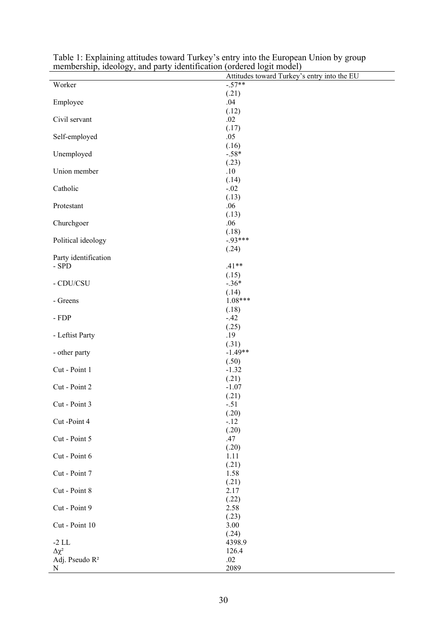| membership, ideology, and party identification (ordered logit model) | Attitudes toward Turkey's entry into the EU |
|----------------------------------------------------------------------|---------------------------------------------|
|                                                                      | $-57**$                                     |
| Worker                                                               |                                             |
|                                                                      | (.21)                                       |
| Employee                                                             | .04                                         |
|                                                                      | (.12)                                       |
| Civil servant                                                        | .02                                         |
|                                                                      | (.17)                                       |
| Self-employed                                                        | .05                                         |
|                                                                      | (.16)                                       |
| Unemployed                                                           | $-.58*$                                     |
|                                                                      | (.23)                                       |
| Union member                                                         | .10                                         |
|                                                                      | (.14)                                       |
| Catholic                                                             | $-.02$                                      |
|                                                                      | (.13)                                       |
|                                                                      | .06                                         |
| Protestant                                                           |                                             |
|                                                                      | (.13)                                       |
| Churchgoer                                                           | .06                                         |
|                                                                      | (.18)                                       |
| Political ideology                                                   | $-93***$                                    |
|                                                                      | (.24)                                       |
| Party identification                                                 |                                             |
| - SPD                                                                | $.41**$                                     |
|                                                                      | (.15)                                       |
| - CDU/CSU                                                            | $-.36*$                                     |
|                                                                      | (.14)                                       |
| - Greens                                                             | $1.08***$                                   |
|                                                                      |                                             |
|                                                                      | (.18)                                       |
| - ${\rm FDP}$                                                        | $-42$                                       |
|                                                                      | (.25)                                       |
| - Leftist Party                                                      | .19                                         |
|                                                                      | (.31)                                       |
| - other party                                                        | $-1.49**$                                   |
|                                                                      | (.50)                                       |
| Cut - Point 1                                                        | $-1.32$                                     |
|                                                                      | (.21)                                       |
| Cut - Point 2                                                        | $-1.07$                                     |
|                                                                      | (.21)                                       |
| Cut - Point 3                                                        | $-.51$                                      |
|                                                                      |                                             |
| Cut-Point 4                                                          | (.20)                                       |
|                                                                      | $-.12$                                      |
|                                                                      | (.20)                                       |
| Cut - Point 5                                                        | .47                                         |
|                                                                      | (.20)                                       |
| Cut - Point 6                                                        | 1.11                                        |
|                                                                      | (.21)                                       |
| Cut - Point 7                                                        | 1.58                                        |
|                                                                      | (.21)                                       |
| Cut - Point 8                                                        | 2.17                                        |
|                                                                      | (.22)                                       |
| Cut - Point 9                                                        | 2.58                                        |
|                                                                      |                                             |
|                                                                      | (.23)                                       |
| Cut - Point 10                                                       | 3.00                                        |
|                                                                      | (.24)                                       |
| $-2$ LL                                                              | 4398.9                                      |
| $\Delta \chi^2$                                                      | 126.4                                       |
| Adj. Pseudo $\mathbb{R}^2$                                           | .02                                         |
| N                                                                    | 2089                                        |

Table 1: Explaining attitudes toward Turkey's entry into the European Union by group membership, ideology, and party identification (ordered logit model)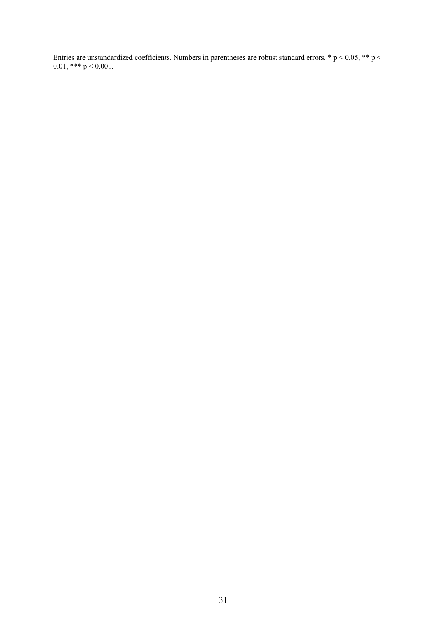Entries are unstandardized coefficients. Numbers in parentheses are robust standard errors. \*  $p < 0.05$ , \*\* p < 0.01, \*\*\*  $p < 0.001$ .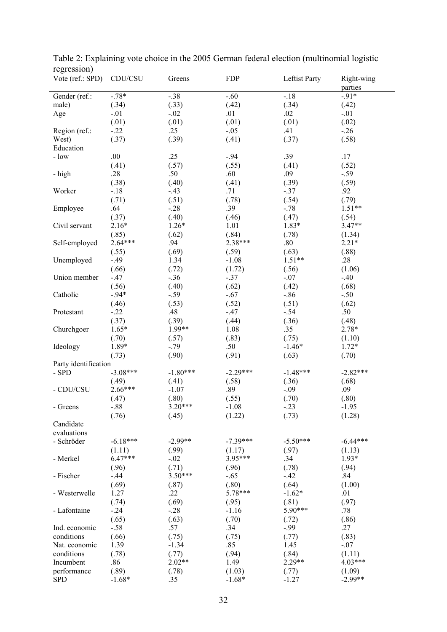| 10.510010H           |            |            |            |               |                       |
|----------------------|------------|------------|------------|---------------|-----------------------|
| Vote (ref.: SPD)     | CDU/CSU    | Greens     | <b>FDP</b> | Leftist Party | Right-wing<br>parties |
| Gender (ref.:        | $-78*$     | $-.38$     | $-.60$     | $-.18$        | $-91*$                |
| male)                | (.34)      | (.33)      | (.42)      | (.34)         | (.42)                 |
|                      | $-.01$     | $-.02$     | .01        | .02           | $-.01$                |
| Age                  |            |            |            |               |                       |
|                      | (.01)      | (.01)      | (.01)      | (.01)         | (.02)                 |
| Region (ref.:        | $-22$      | .25        | $-.05$     | .41           | $-26$                 |
| West)                | (.37)      | (.39)      | (.41)      | (.37)         | (.58)                 |
| Education            |            |            |            |               |                       |
| $-$ low              | .00        | .25        | $-.94$     | .39           | .17                   |
|                      | (.41)      | (.57)      | (.55)      | (.41)         | (.52)                 |
|                      | .28        | .50        | .60        | .09           | $-.59$                |
| - high               |            |            |            |               |                       |
|                      | (.38)      | (.40)      | (.41)      | (.39)         | (.59)                 |
| Worker               | $-.18$     | $-.43$     | .71        | $-.37$        | .92                   |
|                      | (.71)      | (.51)      | (.78)      | (.54)         | (.79)                 |
| Employee             | .64        | $-.28$     | .39        | $-.78$        | $1.51**$              |
|                      | (.37)      | (.40)      | (.46)      | (.47)         | (.54)                 |
| Civil servant        | $2.16*$    | $1.26*$    | 1.01       | 1.83*         | $3.47**$              |
|                      | (.85)      | (.62)      | (.84)      | (.78)         | (1.34)                |
|                      |            |            |            |               |                       |
| Self-employed        | $2.64***$  | .94        | 2.38***    | $.80\,$       | $2.21*$               |
|                      | (.55)      | (.69)      | (.59)      | (.63)         | (.88)                 |
| Unemployed           | $-49$      | 1.34       | $-1.08$    | $1.51**$      | .28                   |
|                      | (.66)      | (.72)      | (1.72)     | (.56)         | (1.06)                |
| Union member         | $-.47$     | $-.36$     | $-.37$     | $-.07$        | $-40$                 |
|                      | (.56)      | (.40)      | (.62)      | (.42)         | (.68)                 |
| Catholic             | $-.94*$    | $-.59$     | $-.67$     | $-.86$        | $-.50$                |
|                      | (.46)      | (.53)      | (.52)      | (.51)         | (.62)                 |
|                      |            |            |            |               |                       |
| Protestant           | $-.22$     | .48        | $-47$      | $-.54$        | .50                   |
|                      | (.37)      | (.39)      | (.44)      | (.36)         | (.48)                 |
| Churchgoer           | $1.65*$    | 1.99**     | 1.08       | .35           | $2.78*$               |
|                      | (.70)      | (.57)      | (.83)      | (.75)         | (1.10)                |
| Ideology             | 1.89*      | $-.79$     | .50        | $-1.46*$      | $1.72*$               |
|                      | (.73)      | (.90)      | (.91)      | (.63)         | (.70)                 |
| Party identification |            |            |            |               |                       |
| $-$ SPD              | $-3.08***$ | $-1.80***$ | $-2.29***$ | $-1.48***$    | $-2.82***$            |
|                      | (.49)      | (.41)      | (.58)      | (.36)         | (.68)                 |
| - CDU/CSU            | $2.66***$  |            |            |               |                       |
|                      |            | $-1.07$    | .89        | $-.09$        | .09                   |
|                      | (.47)      | (.80)      | (.55)      | (.70)         | (.80)                 |
| - Greens             | $-.88$     | 3.20***    | $-1.08$    | $-23$         | $-1.95$               |
|                      | (.76)      | (.45)      | (1.22)     | (.73)         | (1.28)                |
| Candidate            |            |            |            |               |                       |
| evaluations          |            |            |            |               |                       |
| - Schröder           | $-6.18***$ | $-2.99**$  | $-7.39***$ | $-5.50***$    | $-6.44***$            |
|                      | (1.11)     | (.99)      | (1.17)     | (.97)         | (1.13)                |
| - Merkel             | $6.47***$  | $-.02$     | 3.95***    | .34           | $1.93*$               |
|                      |            |            |            |               |                       |
|                      | (.96)      | (.71)      | (.96)      | (.78)         | (.94)                 |
| - Fischer            | $-.44$     | $3.50***$  | $-.65$     | $-.42$        | .84                   |
|                      | (.69)      | (.87)      | (.80)      | (.64)         | (1.00)                |
| - Westerwelle        | 1.27       | .22        | 5.78***    | $-1.62*$      | .01                   |
|                      | (.74)      | (.69)      | (.95)      | (.81)         | (.97)                 |
| - Lafontaine         | $-0.24$    | $-.28$     | $-1.16$    | 5.90***       | .78                   |
|                      | (.65)      | (.63)      | (.70)      | (.72)         | (.86)                 |
| Ind. economic        | $-.58$     | .57        | .34        | $-.99$        | .27                   |
| conditions           | (.66)      | (.75)      | (.75)      | (.77)         | (.83)                 |
|                      | 1.39       | $-1.34$    | .85        | 1.45          | $-.07$                |
| Nat. economic        |            |            |            |               |                       |
| conditions           | (.78)      | (.77)      | (.94)      | (.84)         | (1.11)                |
| Incumbent            | .86        | $2.02**$   | 1.49       | 2.29**        | 4.03***               |
| performance          | (.89)      | (.78)      | (1.03)     | (.77)         | (1.09)                |
| <b>SPD</b>           | $-1.68*$   | .35        | $-1.68*$   | $-1.27$       | $-2.99**$             |

Table 2: Explaining vote choice in the 2005 German federal election (multinomial logistic regression)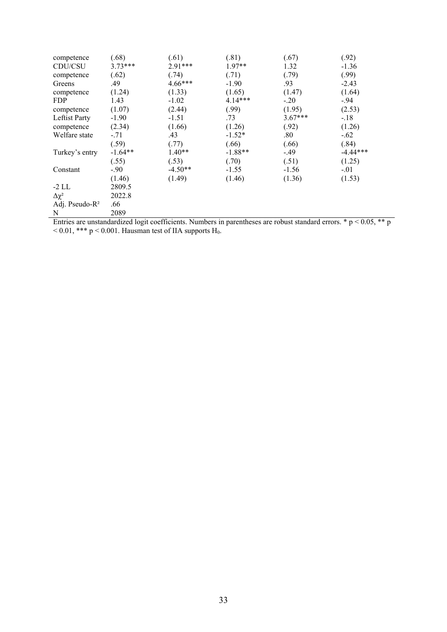| competence                 | (.68)     | (.61)     | (.81)     | (.67)     | (.92)      |
|----------------------------|-----------|-----------|-----------|-----------|------------|
| CDU/CSU                    | $3.73***$ | 2.91***   | 1.97**    | 1.32      | $-1.36$    |
| competence                 | (.62)     | (.74)     | (.71)     | (.79)     | (.99)      |
| Greens                     | .49       | $4.66***$ | $-1.90$   | .93       | $-2.43$    |
| competence                 | (1.24)    | (1.33)    | (1.65)    | (1.47)    | (1.64)     |
| <b>FDP</b>                 | 1.43      | $-1.02$   | $4.14***$ | $-.20$    | $-.94$     |
| competence                 | (1.07)    | (2.44)    | (.99)     | (1.95)    | (2.53)     |
| Leftist Party              | $-1.90$   | $-1.51$   | .73       | $3.67***$ | $-.18$     |
| competence                 | (2.34)    | (1.66)    | (1.26)    | (.92)     | (1.26)     |
| Welfare state              | $-.71$    | .43       | $-1.52*$  | $.80\,$   | $-.62$     |
|                            | (.59)     | (.77)     | (.66)     | (.66)     | (.84)      |
| Turkey's entry             | $-1.64**$ | $1.40**$  | $-1.88**$ | -.49      | $-4.44***$ |
|                            | (.55)     | (.53)     | (.70)     | (.51)     | (1.25)     |
| Constant                   | $-90$     | $-4.50**$ | $-1.55$   | $-1.56$   | $-.01$     |
|                            | (1.46)    | (1.49)    | (1.46)    | (1.36)    | (1.53)     |
| $-2$ LL                    | 2809.5    |           |           |           |            |
| $\Delta \chi^2$            | 2022.8    |           |           |           |            |
| Adj. Pseudo-R <sup>2</sup> | .66       |           |           |           |            |
| N                          | 2089      |           |           |           |            |

Entries are unstandardized logit coefficients. Numbers in parentheses are robust standard errors.  $* p < 0.05$ ,  $** p$  $<$  0.01, \*\*\* p  $<$  0.001. Hausman test of IIA supports H<sub>0</sub>.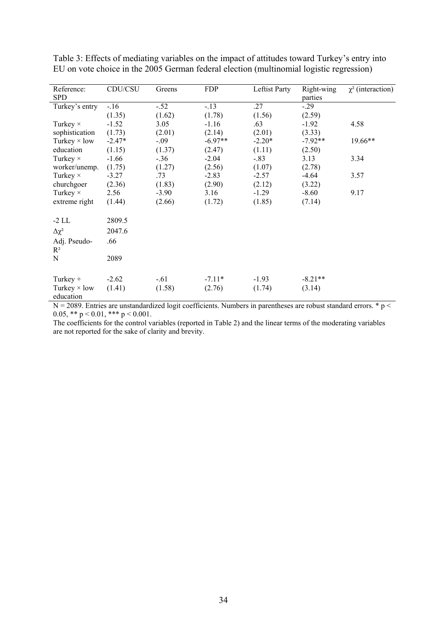| Reference:                       | CDU/CSU  | Greens  | <b>FDP</b> | Leftist Party | Right-wing | $\chi^2$ (interaction) |
|----------------------------------|----------|---------|------------|---------------|------------|------------------------|
| <b>SPD</b>                       |          |         |            |               | parties    |                        |
| Turkey's entry                   | $-.16$   | $-.52$  | $-13$      | .27           | $-0.29$    |                        |
|                                  | (1.35)   | (1.62)  | (1.78)     | (1.56)        | (2.59)     |                        |
| Turkey $\times$                  | $-1.52$  | 3.05    | $-1.16$    | .63           | $-1.92$    | 4.58                   |
| sophistication                   | (1.73)   | (2.01)  | (2.14)     | (2.01)        | (3.33)     |                        |
| Turkey $\times$ low              | $-2.47*$ | $-.09$  | $-6.97**$  | $-2.20*$      | $-7.92**$  | 19.66**                |
| education                        | (1.15)   | (1.37)  | (2.47)     | (1.11)        | (2.50)     |                        |
| Turkey $\times$                  | $-1.66$  | $-.36$  | $-2.04$    | $-.83$        | 3.13       | 3.34                   |
| worker/unemp.                    | (1.75)   | (1.27)  | (2.56)     | (1.07)        | (2.78)     |                        |
| Turkey $\times$                  | $-3.27$  | .73     | $-2.83$    | $-2.57$       | -4.64      | 3.57                   |
| churchgoer                       | (2.36)   | (1.83)  | (2.90)     | (2.12)        | (3.22)     |                        |
| Turkey $\times$                  | 2.56     | $-3.90$ | 3.16       | $-1.29$       | $-8.60$    | 9.17                   |
| extreme right                    | (1.44)   | (2.66)  | (1.72)     | (1.85)        | (7.14)     |                        |
| $-2$ LL                          | 2809.5   |         |            |               |            |                        |
| $\Delta \chi^2$                  | 2047.6   |         |            |               |            |                        |
| Adj. Pseudo-                     | .66      |         |            |               |            |                        |
| $R^2$                            |          |         |            |               |            |                        |
| N                                | 2089     |         |            |               |            |                        |
|                                  |          |         |            |               |            |                        |
| Turkey $+$                       | $-2.62$  | $-.61$  | $-7.11*$   | $-1.93$       | $-8.21**$  |                        |
| Turkey $\times$ low<br>education | (1.41)   | (1.58)  | (2.76)     | (1.74)        | (3.14)     |                        |

Table 3: Effects of mediating variables on the impact of attitudes toward Turkey's entry into EU on vote choice in the 2005 German federal election (multinomial logistic regression)

 $N = 2089$ . Entries are unstandardized logit coefficients. Numbers in parentheses are robust standard errors.  $* p <$ 0.05, \*\*  $p < 0.01$ , \*\*\*  $p < 0.001$ .

The coefficients for the control variables (reported in Table 2) and the linear terms of the moderating variables are not reported for the sake of clarity and brevity.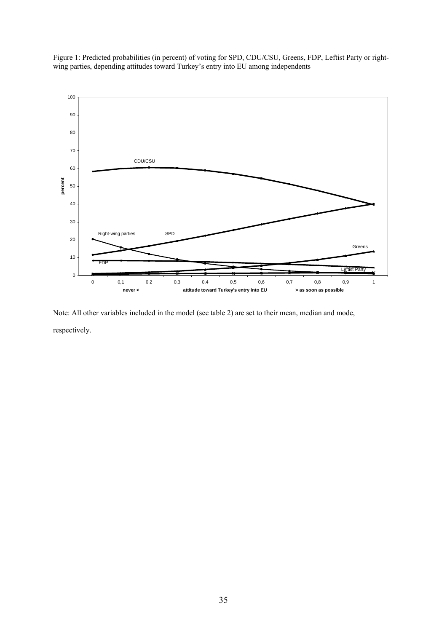Figure 1: Predicted probabilities (in percent) of voting for SPD, CDU/CSU, Greens, FDP, Leftist Party or rightwing parties, depending attitudes toward Turkey's entry into EU among independents



Note: All other variables included in the model (see table 2) are set to their mean, median and mode, respectively.